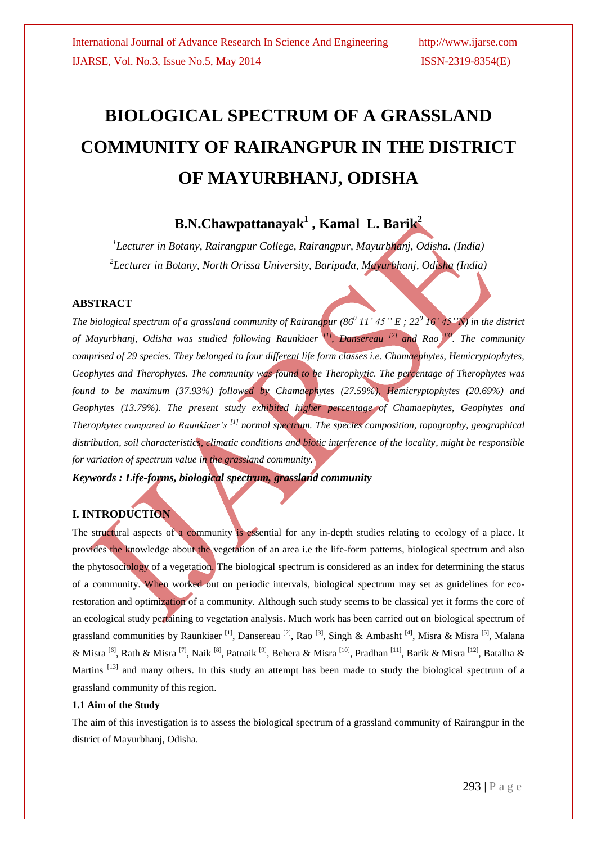# **BIOLOGICAL SPECTRUM OF A GRASSLAND COMMUNITY OF RAIRANGPUR IN THE DISTRICT OF MAYURBHANJ, ODISHA**

# **B.N.Chawpattanayak<sup>1</sup> , Kamal L. Barik<sup>2</sup>**

*1 Lecturer in Botany, Rairangpur College, Rairangpur, Mayurbhanj, Odisha. (India) 2 Lecturer in Botany, North Orissa University, Baripada, Mayurbhanj, Odisha (India)*

#### **ABSTRACT**

*The biological spectrum of a grassland community of Rairangpur (86<sup>0</sup> 11' 45'' E ; 22<sup>0</sup> 16' 45''N) in the district of Mayurbhanj, Odisha was studied following Raunkiaer [1], Dansereau [2] and Rao [3] . The community comprised of 29 species. They belonged to four different life form classes i.e. Chamaephytes, Hemicryptophytes, Geophytes and Therophytes. The community was found to be Therophytic. The percentage of Therophytes was found to be maximum (37.93%) followed by Chamaephytes (27.59%), Hemicryptophytes (20.69%) and Geophytes (13.79%). The present study exhibited higher percentage of Chamaephytes, Geophytes and Therophytes compared to Raunkiaer's [1] normal spectrum. The species composition, topography, geographical distribution, soil characteristics, climatic conditions and biotic interference of the locality, might be responsible for variation of spectrum value in the grassland community.*

*Keywords : Life-forms, biological spectrum, grassland community* 

## **I. INTRODUCTION**

The structural aspects of a community is essential for any in-depth studies relating to ecology of a place. It provides the knowledge about the vegetation of an area i.e the life-form patterns, biological spectrum and also the phytosociology of a vegetation. The biological spectrum is considered as an index for determining the status of a community. When worked out on periodic intervals, biological spectrum may set as guidelines for ecorestoration and optimization of a community. Although such study seems to be classical yet it forms the core of an ecological study pertaining to vegetation analysis. Much work has been carried out on biological spectrum of grassland communities by Raunkiaer<sup>[1]</sup>, Dansereau<sup>[2]</sup>, Rao<sup>[3]</sup>, Singh & Ambasht<sup>[4]</sup>, Misra & Misra<sup>[5]</sup>, Malana & Misra <sup>[6]</sup>, Rath & Misra <sup>[7]</sup>, Naik <sup>[8]</sup>, Patnaik <sup>[9]</sup>, Behera & Misra <sup>[10]</sup>, Pradhan <sup>[11]</sup>, Barik & Misra <sup>[12]</sup>, Batalha & Martins <sup>[13]</sup> and many others. In this study an attempt has been made to study the biological spectrum of a grassland community of this region.

#### **1.1 Aim of the Study**

The aim of this investigation is to assess the biological spectrum of a grassland community of Rairangpur in the district of Mayurbhanj, Odisha.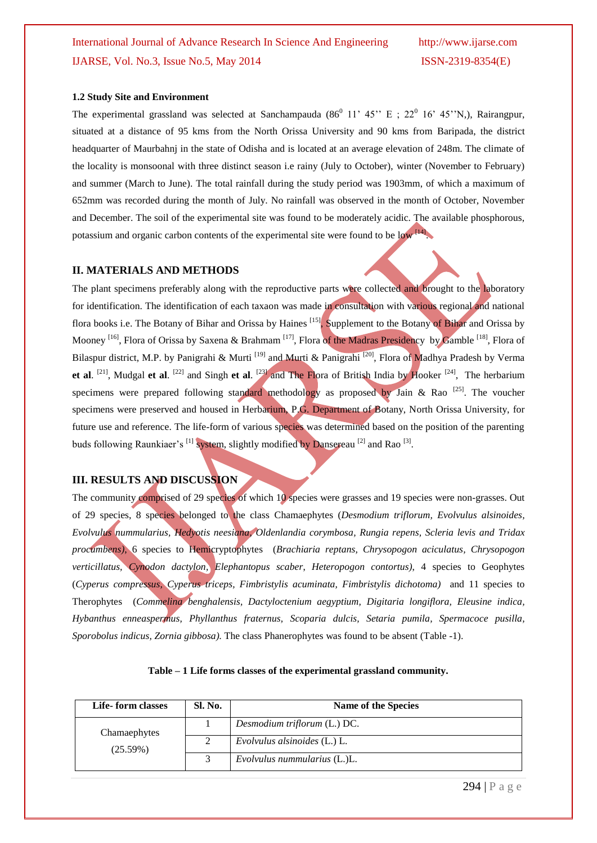# International Journal of Advance Research In Science And Engineering http://www.ijarse.com IJARSE, Vol. No.3, Issue No.5, May 2014 ISSN-2319-8354(E)

#### **1.2 Study Site and Environment**

The experimental grassland was selected at Sanchampauda  $(86^{\circ}$  11' 45" E ; 22 $^{\circ}$  16' 45"N,), Rairangpur, situated at a distance of 95 kms from the North Orissa University and 90 kms from Baripada, the district headquarter of Maurbahnj in the state of Odisha and is located at an average elevation of 248m. The climate of the locality is monsoonal with three distinct season i.e rainy (July to October), winter (November to February) and summer (March to June). The total rainfall during the study period was 1903mm, of which a maximum of 652mm was recorded during the month of July. No rainfall was observed in the month of October, November and December. The soil of the experimental site was found to be moderately acidic. The available phosphorous, potassium and organic carbon contents of the experimental site were found to be  $\log$   $\frac{1}{4}$ .

#### **II. MATERIALS AND METHODS**

The plant specimens preferably along with the reproductive parts were collected and brought to the laboratory for identification. The identification of each taxaon was made in consultation with various regional and national flora books i.e. The Botany of Bihar and Orissa by Haines <sup>[15]</sup>, Supplement to the Botany of Bihar and Orissa by Mooney <sup>[16]</sup>, Flora of Orissa by Saxena & Brahmam <sup>[17]</sup>, Flora of the Madras Presidency by Gamble <sup>[18]</sup>, Flora of Bilaspur district, M.P. by Panigrahi & Murti <sup>[19]</sup> and Murti & Panigrahi<sup>[20]</sup>, Flora of Madhya Pradesh by Verma **et al.** <sup>[21]</sup>, Mudgal **et al.** <sup>[22]</sup> and Singh **et al.** <sup>[23]</sup> and The Flora of British India by Hooker <sup>[24]</sup>, The herbarium specimens were prepared following standard methodology as proposed by Jain & Rao  $^{[25]}$ . The voucher specimens were preserved and housed in Herbarium, P.G. Department of Botany, North Orissa University, for future use and reference. The life-form of various species was determined based on the position of the parenting buds following Raunkiaer's <sup>[1]</sup> system, slightly modified by Dansereau <sup>[2]</sup> and Rao <sup>[3]</sup>.

#### **III. RESULTS AND DISCUSSION**

The community comprised of 29 species of which 10 species were grasses and 19 species were non-grasses. Out of 29 species, 8 species belonged to the class Chamaephytes (*Desmodium triflorum, Evolvulus alsinoides, Evolvulus nummularius, Hedyotis neesiana, Oldenlandia corymbosa, Rungia repens, Scleria levis and Tridax procumbens)*, 6 species to Hemicryptophytes (*Brachiaria reptans, Chrysopogon aciculatus, Chrysopogon verticillatus, Cynodon dactylon, Elephantopus scaber*, *Heteropogon contortus)*, 4 species to Geophytes (*Cyperus compressus, Cyperus triceps, Fimbristylis acuminata, Fimbristylis dichotoma)* and 11 species to Therophytes (*Commelina benghalensis, Dactyloctenium aegyptium, Digitaria longiflora, Eleusine indica, Hybanthus enneaspermus, Phyllanthus fraternus, Scoparia dulcis, Setaria pumila, Spermacoce pusilla, Sporobolus indicus, Zornia gibbosa).* The class Phanerophytes was found to be absent (Table -1).

|  | Table - 1 Life forms classes of the experimental grassland community. |  |  |  |  |
|--|-----------------------------------------------------------------------|--|--|--|--|
|--|-----------------------------------------------------------------------|--|--|--|--|

| Life-form classes | Sl. No. | Name of the Species              |
|-------------------|---------|----------------------------------|
| Chamaephytes      |         | Desmodium triflorum (L.) DC.     |
| (25.59%)          | 2       | Evolvulus alsinoides (L.) L.     |
|                   | 3       | $Evolvulus$ nummularius $(L)L$ . |

294 | P a g e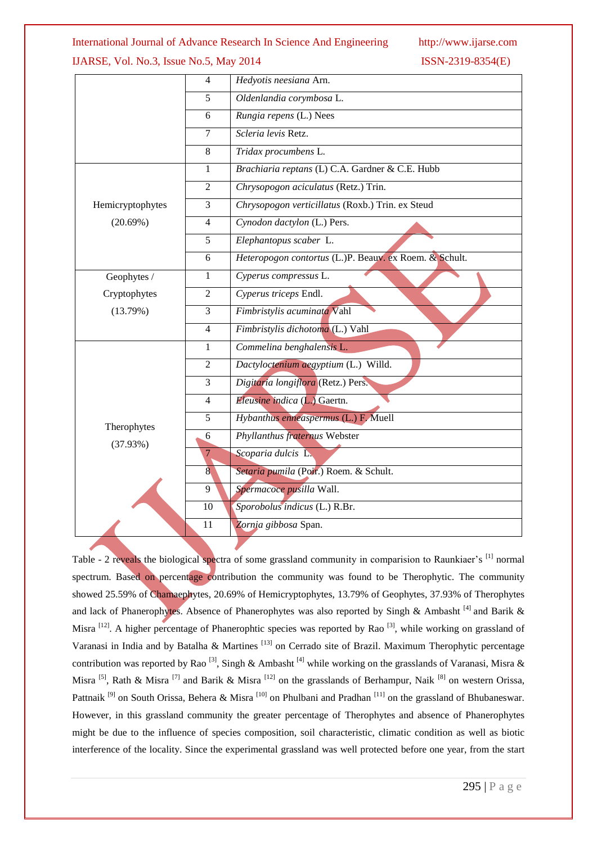#### International Journal of Advance Research In Science And Engineering http://www.ijarse.com

### IJARSE, Vol. No.3, Issue No.5, May 2014 ISSN-2319-8354(E)

|                  | 4              | Hedyotis neesiana Arn.                                 |  |  |
|------------------|----------------|--------------------------------------------------------|--|--|
|                  | 5              | Oldenlandia corymbosa L.                               |  |  |
|                  | 6              | Rungia repens (L.) Nees                                |  |  |
|                  | 7              | Scleria levis Retz.                                    |  |  |
|                  | 8              | Tridax procumbens L.                                   |  |  |
|                  | $\mathbf{1}$   | Brachiaria reptans (L) C.A. Gardner & C.E. Hubb        |  |  |
|                  | 2              | Chrysopogon aciculatus (Retz.) Trin.                   |  |  |
| Hemicryptophytes | $\overline{3}$ | Chrysopogon verticillatus (Roxb.) Trin. ex Steud       |  |  |
| (20.69%)         | $\overline{4}$ | Cynodon dactylon (L.) Pers.                            |  |  |
|                  | 5              | Elephantopus scaber L.                                 |  |  |
|                  | 6              | Heteropogon contortus (L.)P. Beauv. ex Roem. & Schult. |  |  |
| Geophytes /      | $\mathbf{1}$   | Cyperus compressus L.                                  |  |  |
| Cryptophytes     | $\overline{2}$ | Cyperus triceps Endl.                                  |  |  |
| (13.79%)         | 3              | Fimbristylis acuminata Vahl                            |  |  |
|                  | $\overline{4}$ | Fimbristylis dichotoma (L.) Vahl                       |  |  |
|                  | 1              | Commelina benghalensis L.                              |  |  |
|                  | $\overline{2}$ | Dactyloctenium aegyptium (L.) Willd.                   |  |  |
|                  | 3              | Digitaria longiflora (Retz.) Pers.                     |  |  |
|                  | $\overline{4}$ | Eleusine indica (L.) Gaertn.                           |  |  |
| Therophytes      | 5              | Hybanthus enneaspermus (L.) F. Muell                   |  |  |
| (37.93%)         | 6              | Phyllanthus fraternus Webster                          |  |  |
|                  | $\overline{7}$ | Scoparia dulcis L.                                     |  |  |
|                  | $\overline{8}$ | Setaria pumila (Poir.) Roem. & Schult.                 |  |  |
|                  | 9              | Spermacoce pusilla Wall.                               |  |  |
|                  | 10             | Sporobolus indicus (L.) R.Br.                          |  |  |
|                  | 11             | Zornia gibbosa Span.                                   |  |  |

Table - 2 reveals the biological spectra of some grassland community in comparision to Raunkiaer's <sup>[1]</sup> normal spectrum. Based on percentage contribution the community was found to be Therophytic. The community showed 25.59% of Chamaephytes, 20.69% of Hemicryptophytes, 13.79% of Geophytes, 37.93% of Therophytes and lack of Phanerophytes. Absence of Phanerophytes was also reported by Singh & Ambasht<sup>[4]</sup> and Barik & Misra <sup>[12]</sup>. A higher percentage of Phanerophtic species was reported by Rao<sup>[3]</sup>, while working on grassland of Varanasi in India and by Batalha & Martines<sup>[13]</sup> on Cerrado site of Brazil. Maximum Therophytic percentage contribution was reported by Rao<sup>[3]</sup>, Singh & Ambasht<sup>[4]</sup> while working on the grasslands of Varanasi, Misra & Misra <sup>[5]</sup>, Rath & Misra <sup>[7]</sup> and Barik & Misra <sup>[12]</sup> on the grasslands of Berhampur, Naik <sup>[8]</sup> on western Orissa, Pattnaik<sup>[9]</sup> on South Orissa, Behera & Misra<sup>[10]</sup> on Phulbani and Pradhan<sup>[11]</sup> on the grassland of Bhubaneswar. However, in this grassland community the greater percentage of Therophytes and absence of Phanerophytes might be due to the influence of species composition, soil characteristic, climatic condition as well as biotic interference of the locality. Since the experimental grassland was well protected before one year, from the start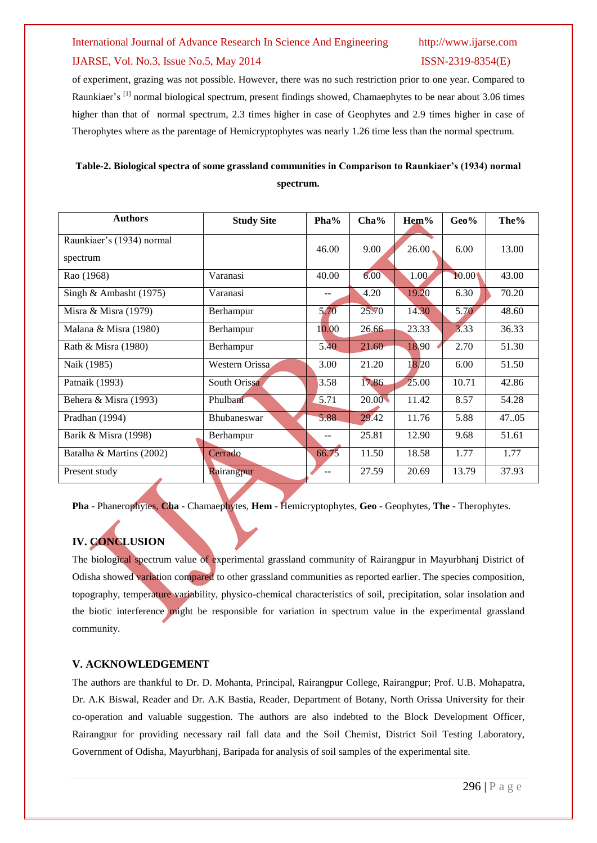# International Journal of Advance Research In Science And Engineering http://www.ijarse.com IJARSE, Vol. No.3, Issue No.5, May 2014 ISSN-2319-8354(E)

of experiment, grazing was not possible. However, there was no such restriction prior to one year. Compared to Raunkiaer's [1] normal biological spectrum, present findings showed, Chamaephytes to be near about 3.06 times higher than that of normal spectrum, 2.3 times higher in case of Geophytes and 2.9 times higher in case of Therophytes where as the parentage of Hemicryptophytes was nearly 1.26 time less than the normal spectrum.

| Table-2. Biological spectra of some grassland communities in Comparison to Raunkiaer's (1934) normal |
|------------------------------------------------------------------------------------------------------|
| spectrum.                                                                                            |

| <b>Authors</b>                        | <b>Study Site</b>  | Pha%  | Cha%  | Hem%  | $Geo\%$ | The%  |
|---------------------------------------|--------------------|-------|-------|-------|---------|-------|
| Raunkiaer's (1934) normal<br>spectrum |                    | 46.00 | 9.00  | 26.00 | 6.00    | 13.00 |
| Rao (1968)                            | Varanasi           | 40.00 | 6.00  | 1.00  | 10.00   | 43.00 |
| Singh & Ambasht $(1975)$              | Varanasi           |       | 4.20  | 19.20 | 6.30    | 70.20 |
| Misra & Misra (1979)                  | Berhampur          | 5.70  | 25.70 | 14.30 | 5.70    | 48.60 |
| Malana & Misra (1980)                 | Berhampur          | 10.00 | 26.66 | 23.33 | 3.33    | 36.33 |
| Rath & Misra (1980)                   | Berhampur          | 5.40  | 21.60 | 18.90 | 2.70    | 51.30 |
| Naik (1985)                           | Western Orissa     | 3.00  | 21.20 | 18.20 | 6.00    | 51.50 |
| Patnaik (1993)                        | South Orissa       | 3.58  | 17.86 | 25.00 | 10.71   | 42.86 |
| Behera & Misra (1993)                 | Phulbani           | 5.71  | 20.00 | 11.42 | 8.57    | 54.28 |
| Pradhan (1994)                        | <b>Bhubaneswar</b> | 5.88  | 29.42 | 11.76 | 5.88    | 47.05 |
| Barik & Misra (1998)                  | Berhampur          | --    | 25.81 | 12.90 | 9.68    | 51.61 |
| Batalha & Martins (2002)              | Cerrado            | 66.75 | 11.50 | 18.58 | 1.77    | 1.77  |
| Present study                         | Rairangpur         |       | 27.59 | 20.69 | 13.79   | 37.93 |

**Pha** - Phanerophytes, **Cha** - Chamaephytes, **Hem** - Hemicryptophytes, **Geo** - Geophytes, **The** - Therophytes.

# **IV. CONCLUSION**

The biological spectrum value of experimental grassland community of Rairangpur in Mayurbhanj District of Odisha showed variation compared to other grassland communities as reported earlier. The species composition, topography, temperature variability, physico-chemical characteristics of soil, precipitation, solar insolation and the biotic interference might be responsible for variation in spectrum value in the experimental grassland community.

#### **V. ACKNOWLEDGEMENT**

The authors are thankful to Dr. D. Mohanta, Principal, Rairangpur College, Rairangpur; Prof. U.B. Mohapatra, Dr. A.K Biswal, Reader and Dr. A.K Bastia, Reader, Department of Botany, North Orissa University for their co-operation and valuable suggestion. The authors are also indebted to the Block Development Officer, Rairangpur for providing necessary rail fall data and the Soil Chemist, District Soil Testing Laboratory, Government of Odisha, Mayurbhanj, Baripada for analysis of soil samples of the experimental site.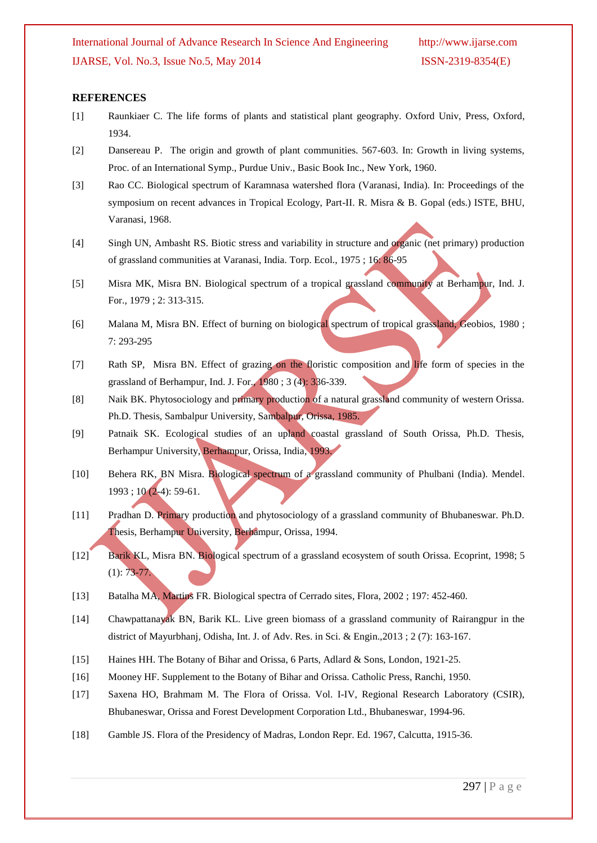#### **REFERENCES**

- [1] Raunkiaer C. The life forms of plants and statistical plant geography. Oxford Univ, Press, Oxford, 1934.
- [2] Dansereau P. The origin and growth of plant communities. 567-603. In: Growth in living systems, Proc. of an International Symp., Purdue Univ., Basic Book Inc., New York, 1960.
- [3] Rao CC. Biological spectrum of Karamnasa watershed flora (Varanasi, India). In: Proceedings of the symposium on recent advances in Tropical Ecology, Part-II. R. Misra & B. Gopal (eds.) ISTE, BHU, Varanasi, 1968.
- [4] Singh UN, Ambasht RS. Biotic stress and variability in structure and organic (net primary) production of grassland communities at Varanasi, India. Torp. Ecol., 1975 ; 16: 86-95
- [5] Misra MK, Misra BN. Biological spectrum of a tropical grassland community at Berhampur, Ind. J. For., 1979 ; 2: 313-315.
- [6] Malana M, Misra BN. Effect of burning on biological spectrum of tropical grassland, Geobios, 1980; 7: 293-295
- [7] Rath SP, Misra BN. Effect of grazing on the floristic composition and life form of species in the grassland of Berhampur, Ind. J. For., 1980 ; 3 (4): 336-339.
- [8] Naik BK. Phytosociology and primary production of a natural grassland community of western Orissa. Ph.D. Thesis, Sambalpur University, Sambalpur, Orissa, 1985.
- [9] Patnaik SK. Ecological studies of an upland coastal grassland of South Orissa, Ph.D. Thesis, Berhampur University, Berhampur, Orissa, India, 1993.
- [10] Behera RK, BN Misra. Biological spectrum of a grassland community of Phulbani (India). Mendel. 1993 ; 10 (2-4): 59-61.
- [11] Pradhan D. Primary production and phytosociology of a grassland community of Bhubaneswar. Ph.D. Thesis, Berhampur University, Berhampur, Orissa, 1994.
- [12] Barik KL, Misra BN. Biological spectrum of a grassland ecosystem of south Orissa. Ecoprint, 1998; 5  $(1): 73-77.$
- [13] Batalha MA, Martins FR. Biological spectra of Cerrado sites, Flora, 2002 ; 197: 452-460.
- [14] Chawpattanayak BN, Barik KL. Live green biomass of a grassland community of Rairangpur in the district of Mayurbhanj, Odisha, Int. J. of Adv. Res. in Sci. & Engin.,2013 ; 2 (7): 163-167.
- [15] Haines HH. The Botany of Bihar and Orissa, 6 Parts, Adlard & Sons, London, 1921-25.
- [16] Mooney HF. Supplement to the Botany of Bihar and Orissa. Catholic Press, Ranchi, 1950.
- [17] Saxena HO, Brahmam M. The Flora of Orissa. Vol. I-IV, Regional Research Laboratory (CSIR), Bhubaneswar, Orissa and Forest Development Corporation Ltd., Bhubaneswar, 1994-96.
- [18] Gamble JS. Flora of the Presidency of Madras, London Repr. Ed. 1967, Calcutta, 1915-36.